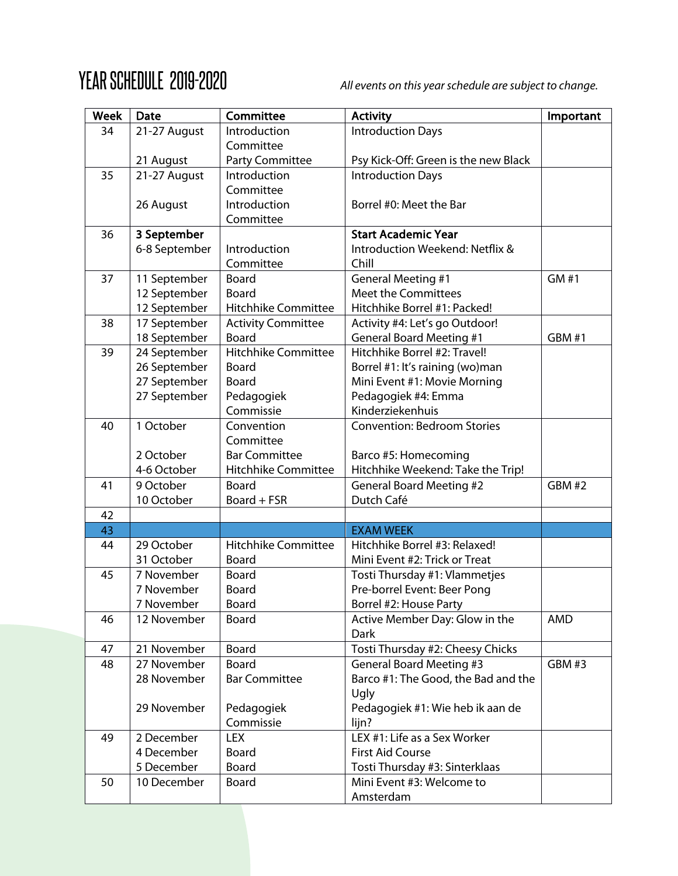## YEAR SCHEDULE 2019-2020 *All events on this year schedule are subject to change.*

| <b>Week</b> | <b>Date</b>   | Committee                  | <b>Activity</b>                      | Important     |
|-------------|---------------|----------------------------|--------------------------------------|---------------|
| 34          | 21-27 August  | Introduction               | <b>Introduction Days</b>             |               |
|             |               | Committee                  |                                      |               |
|             | 21 August     | Party Committee            | Psy Kick-Off: Green is the new Black |               |
| 35          | 21-27 August  | Introduction               | <b>Introduction Days</b>             |               |
|             |               | Committee                  |                                      |               |
|             | 26 August     | Introduction               | Borrel #0: Meet the Bar              |               |
|             |               | Committee                  |                                      |               |
| 36          | 3 September   |                            | <b>Start Academic Year</b>           |               |
|             | 6-8 September | Introduction               | Introduction Weekend: Netflix &      |               |
|             |               | Committee                  | Chill                                |               |
| 37          | 11 September  | Board                      | <b>General Meeting #1</b>            | GM #1         |
|             | 12 September  | Board                      | <b>Meet the Committees</b>           |               |
|             | 12 September  | <b>Hitchhike Committee</b> | Hitchhike Borrel #1: Packed!         |               |
| 38          | 17 September  | <b>Activity Committee</b>  | Activity #4: Let's go Outdoor!       |               |
|             | 18 September  | <b>Board</b>               | <b>General Board Meeting #1</b>      | <b>GBM #1</b> |
| 39          | 24 September  | <b>Hitchhike Committee</b> | Hitchhike Borrel #2: Travel!         |               |
|             | 26 September  | Board                      | Borrel #1: It's raining (wo)man      |               |
|             | 27 September  | Board                      | Mini Event #1: Movie Morning         |               |
|             | 27 September  | Pedagogiek                 | Pedagogiek #4: Emma                  |               |
|             |               | Commissie                  | Kinderziekenhuis                     |               |
| 40          | 1 October     | Convention                 | <b>Convention: Bedroom Stories</b>   |               |
|             |               | Committee                  |                                      |               |
|             | 2 October     | <b>Bar Committee</b>       | Barco #5: Homecoming                 |               |
|             | 4-6 October   | Hitchhike Committee        | Hitchhike Weekend: Take the Trip!    |               |
| 41          | 9 October     | <b>Board</b>               | <b>General Board Meeting #2</b>      | GBM #2        |
|             | 10 October    | Board + FSR                | Dutch Café                           |               |
| 42          |               |                            |                                      |               |
| 43          |               |                            | <b>EXAM WEEK</b>                     |               |
| 44          | 29 October    | <b>Hitchhike Committee</b> | Hitchhike Borrel #3: Relaxed!        |               |
|             | 31 October    | Board                      | Mini Event #2: Trick or Treat        |               |
| 45          | 7 November    | <b>Board</b>               | Tosti Thursday #1: Vlammetjes        |               |
|             | 7 November    | Board                      | Pre-borrel Event: Beer Pong          |               |
|             | 7 November    | <b>Board</b>               | Borrel #2: House Party               |               |
| 46          | 12 November   | Board                      | Active Member Day: Glow in the       | AMD           |
|             |               |                            | Dark                                 |               |
| 47          | 21 November   | Board                      | Tosti Thursday #2: Cheesy Chicks     |               |
| 48          | 27 November   | Board                      | <b>General Board Meeting #3</b>      | GBM #3        |
|             | 28 November   | <b>Bar Committee</b>       | Barco #1: The Good, the Bad and the  |               |
|             |               |                            | Ugly                                 |               |
|             | 29 November   | Pedagogiek                 | Pedagogiek #1: Wie heb ik aan de     |               |
|             |               | Commissie                  | lijn?                                |               |
| 49          | 2 December    | LEX                        | LEX #1: Life as a Sex Worker         |               |
|             | 4 December    | Board                      | <b>First Aid Course</b>              |               |
|             | 5 December    | Board                      | Tosti Thursday #3: Sinterklaas       |               |
| 50          | 10 December   | Board                      | Mini Event #3: Welcome to            |               |
|             |               |                            | Amsterdam                            |               |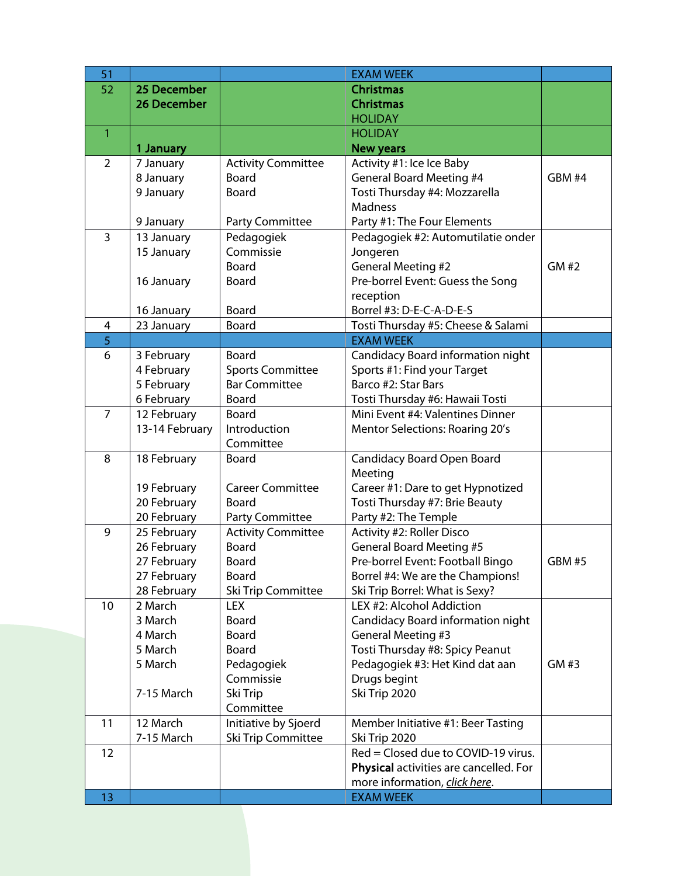| 51             |                    |                           | <b>EXAM WEEK</b>                                             |               |
|----------------|--------------------|---------------------------|--------------------------------------------------------------|---------------|
| 52             | 25 December        |                           | <b>Christmas</b>                                             |               |
|                | <b>26 December</b> |                           | <b>Christmas</b>                                             |               |
|                |                    |                           | <b>HOLIDAY</b>                                               |               |
| $\mathbf{1}$   |                    |                           | <b>HOLIDAY</b>                                               |               |
|                | 1 January          |                           | <b>New years</b>                                             |               |
| $\overline{2}$ | 7 January          | <b>Activity Committee</b> | Activity #1: Ice Ice Baby                                    |               |
|                | 8 January          | <b>Board</b>              | <b>General Board Meeting #4</b>                              | GBM #4        |
|                | 9 January          | Board                     | Tosti Thursday #4: Mozzarella                                |               |
|                |                    |                           | <b>Madness</b>                                               |               |
|                | 9 January          | Party Committee           | Party #1: The Four Elements                                  |               |
| $\overline{3}$ | 13 January         | Pedagogiek                | Pedagogiek #2: Automutilatie onder                           |               |
|                | 15 January         | Commissie                 | Jongeren                                                     |               |
|                |                    | Board                     | <b>General Meeting #2</b>                                    | GM #2         |
|                | 16 January         | Board                     | Pre-borrel Event: Guess the Song                             |               |
|                |                    |                           | reception                                                    |               |
|                | 16 January         | <b>Board</b>              | Borrel #3: D-E-C-A-D-E-S                                     |               |
| 4              | 23 January         | Board                     | Tosti Thursday #5: Cheese & Salami                           |               |
| 5              |                    |                           | <b>EXAM WEEK</b>                                             |               |
| 6              | 3 February         | <b>Board</b>              | Candidacy Board information night                            |               |
|                | 4 February         | <b>Sports Committee</b>   | Sports #1: Find your Target                                  |               |
|                | 5 February         | <b>Bar Committee</b>      | Barco #2: Star Bars                                          |               |
|                | 6 February         | <b>Board</b>              | Tosti Thursday #6: Hawaii Tosti                              |               |
| $\overline{7}$ | 12 February        | <b>Board</b>              | Mini Event #4: Valentines Dinner                             |               |
|                | 13-14 February     | Introduction              | <b>Mentor Selections: Roaring 20's</b>                       |               |
|                |                    | Committee                 |                                                              |               |
| 8              | 18 February        | <b>Board</b>              | <b>Candidacy Board Open Board</b>                            |               |
|                |                    |                           | Meeting                                                      |               |
|                | 19 February        | <b>Career Committee</b>   | Career #1: Dare to get Hypnotized                            |               |
|                | 20 February        | Board                     | Tosti Thursday #7: Brie Beauty                               |               |
|                | 20 February        | Party Committee           | Party #2: The Temple                                         |               |
| 9              | 25 February        | <b>Activity Committee</b> | Activity #2: Roller Disco                                    |               |
|                | 26 February        | <b>Board</b>              | <b>General Board Meeting #5</b>                              |               |
|                | 27 February        | Board                     | Pre-borrel Event: Football Bingo                             | <b>GBM #5</b> |
|                | 27 February        | Board                     | Borrel #4: We are the Champions!                             |               |
|                | 28 February        | Ski Trip Committee        | Ski Trip Borrel: What is Sexy?                               |               |
| 10             | 2 March            | <b>LEX</b>                | LEX #2: Alcohol Addiction                                    |               |
|                | 3 March<br>4 March | Board<br>Board            | Candidacy Board information night                            |               |
|                | 5 March            | <b>Board</b>              | <b>General Meeting #3</b><br>Tosti Thursday #8: Spicy Peanut |               |
|                | 5 March            |                           | Pedagogiek #3: Het Kind dat aan                              | GM #3         |
|                |                    | Pedagogiek<br>Commissie   | Drugs begint                                                 |               |
|                | 7-15 March         | Ski Trip                  | Ski Trip 2020                                                |               |
|                |                    | Committee                 |                                                              |               |
| 11             | 12 March           | Initiative by Sjoerd      | Member Initiative #1: Beer Tasting                           |               |
|                | 7-15 March         | Ski Trip Committee        | Ski Trip 2020                                                |               |
| 12             |                    |                           | Red = Closed due to COVID-19 virus.                          |               |
|                |                    |                           | Physical activities are cancelled. For                       |               |
|                |                    |                           | more information, click here.                                |               |
| 13             |                    |                           | <b>EXAM WEEK</b>                                             |               |